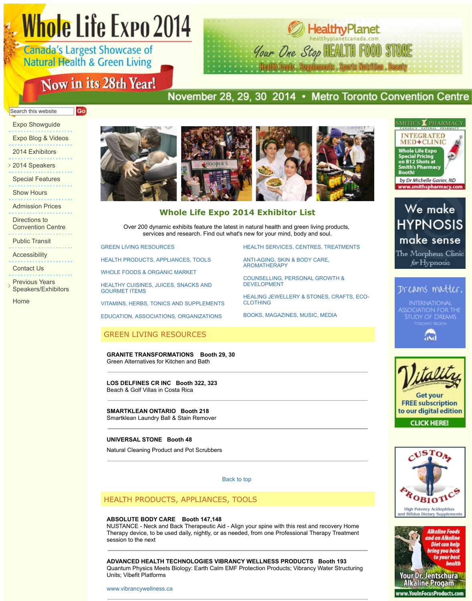Directions to Convention Centre

. . . . . . . . . . . . . Public Transit

Accessibility . . . . . . . . . . . . . . .

Contact Us

Previous Years Speakers/Exhibitors

. . . . . . . . . . . . . . . . . .

Home

# **Whole Life Expo 2014 Exhibitor List**

Over 200 dynamic exhibits feature the latest in natural health and green services and research. Find out what's new for your mind, bot

GREEN LIVING RESOURCES

HEALTH PRODUCTS, APPLIANCES, TOOLS

WHOLE FOODS & ORGANIC MARKET

HEALTHY CUISINES, JUICES, SNACKS AND GOURMET ITEMS

VITAMINS, HERBS, TONICS AND SUPPLEMENTS

EDUCATION, ASSOCIATIONS, ORGANIZATIONS

# GREEN LIVING RESOURCES

**GRANITE TRANSFORMATIONS Booth 29, 30** Green Alternatives for Kitchen and Bath

**LOS DELFINES CR INC Booth 322, 323** Beach & Golf Villas in Costa Rica

**SMARTKLEAN ONTARIO Booth 218** Smartklean Laundry Ball & Stain Remover

# **UNIVERSAL STONE Booth 48**

Natural Cleaning Product and Pot Scrubbers

Back to [top](http://www.wholelifeexpo.ca/exhibitors.php#19) 

# [HEALTH PRODUCTS, APPLIAN](http://www.wholelifeexpo.ca/exhibitors.php#13)CES, TO[OLS](http://www.wholelifeexpo.ca/exhibitors.php#20)

#### **[ABSOLUTE BODY CARE Booth 147,148](http://www.wholelifeexpo.ca/exhibitors.php#14)**

NUSTANCE - Neck and Back Therapeutic Aid - Align your spine with this re [Therapy device, to be used daily, nightly, or a](http://www.wholelifeexpo.ca/exhibitors.php#17)s needed, from one Professional Therapy device, to session to the next

# **ADVANCED HEALTH TECHNOLOGIES VIBRANCY WELLNESS PROD**

Quantum Physics Meets Biology: Earth Calm EMF Protection Products; Vi Units; Vibefit Platforms

www.vibrancywellness.ca

**HEALTH SERVICES, C** 

ANTI-AGING, SKIN & B AROMATHERAPY

COUNSELLING, PERS DEVELOPMENT

**HEALING JEWELLERY** CLOTHING

BOOKS, MAGAZINES,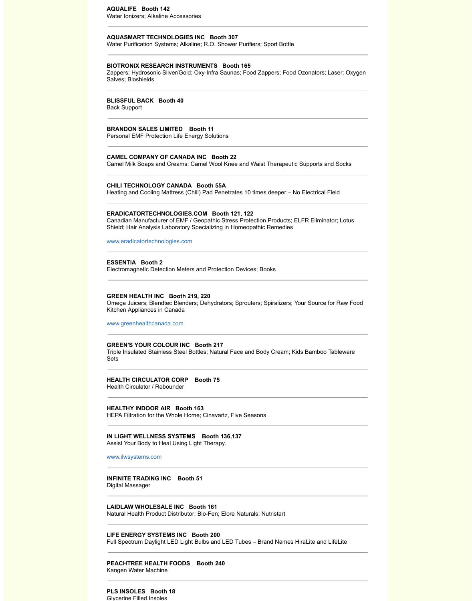#### **ERADICATORTECHNOLOGIES.COM Booth 121, 122**

Canadian Manufacturer of EMF / Geopathic Stress Protection Products; E Shield; Hair Analysis Laboratory Specializing in Homeopathic Remedies

www.eradicatortechnologies.com

### **ESSENTIA Booth 2**

Electromagnetic Detection Meters and Protection Devices; Books

#### **GREEN HEALTH INC Booth 219, 220**

Omega Juicers; Blendtec Blenders; Dehydrators; Sprouters; Spiralizers; Y Kitchen Appliances in Canada

www.greenhealthcanada.com

#### **GREEN'S YOUR COLOUR INC Booth 217**

Triple Insulated Stainless Steel Bottles; Natural Face and Body Cream; Kid Sets

#### **HEALTH CIRCULATOR CORP Booth 75**

Health Circulator / Rebounder

#### **HEALTHY INDOOR AIR Booth 163**

HEPA Filtration for the Whole Home; Cinavartz, Five Seasons

#### **IN LIGHT WELLNESS SYSTEMS Booth 136,137** Assist Your Body to Heal Using Light Therapy.

[www.ilwsystems.com](http://www.eradicatortechnologies.com/)

# **INFINITE TRADING INC Booth 51**

Digital Massager

#### **LAIDLAW WHOLESALE INC Booth 161**

Natural Health Product Distributor; Bio-Fen; Elore Naturals; Nutristart

# **[LIFE ENERGY SYSTEMS INC](http://www.greenhealthcanada.com/) Booth 200**

Full Spectrum Daylight LED Light Bulbs and LED Tubes – Brand Names H

# **PEACHTREE HEALTH FOODS Booth 240**

Kangen Water Machine

**PLS INSOLES Booth 18** Glycerine Filled Insoles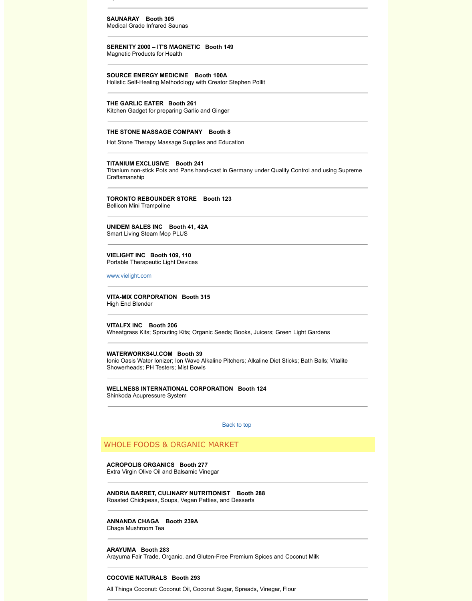# **UNIDEM SALES INC Booth 41, 42A**

Smart Living Steam Mop PLUS

### **VIELIGHT INC Booth 109, 110** Portable Therapeutic Light Devices

www.vielight.com

# **VITA-MIX CORPORATION Booth 315**

High End Blender

**VITALFX INC Booth 206**  Wheatgrass Kits; Sprouting Kits; Organic Seeds; Books, Juicers; Green Li

**WATERWORKS4U.COM Booth 39** Ionic Oasis Water Ionizer; Ion Wave Alkaline Pitchers; Alkaline Diet Sticks Showerheads; PH Testers; Mist Bowls

# **WELLNESS INTERNATIONAL CORPORATION Booth 124** Shinkoda Acupressure System

Back to top

# WHOLE FOODS & ORGANIC MARKET

**ACROPOLIS ORGANICS Booth 277** Extra Virgin Olive Oil and Balsamic Vinegar

**[ANDRIA BARRET](http://www.vielight.com/), CULINARY NUTRITIONIST Booth 288**  Roasted Chickpeas, Soups, Vegan Patties, and Desserts

# **ANNANDA CHAGA Booth 239A**

Chaga Mushroom Tea

# **ARAYUMA Booth 283**

Arayuma Fair Trade, Organic, and Gluten-Free Premium Spices and Coco

# **COCOVIE NATURALS Booth 293**

All Things Coconut: Coconut Oil, Coconut Sugar, Spreads, Vinegar, Flour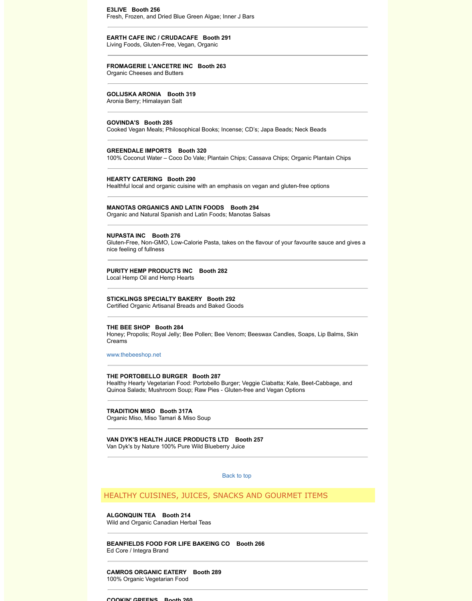Organic and Natural Spanish and Latin Foods; Manotas Salsas

#### **NUPASTA INC Booth 276**

Gluten-Free, Non-GMO, Low-Calorie Pasta, takes on the flavour of your fa nice feeling of fullness

# **PURITY HEMP PRODUCTS INC Booth 282**

Local Hemp Oil and Hemp Hearts

### **STICKLINGS SPECIALTY BAKERY Booth 292**

Certified Organic Artisanal Breads and Baked Goods

### **THE BEE SHOP Booth 284**

Honey; Propolis; Royal Jelly; Bee Pollen; Bee Venom; Beeswax Candles, Creams

www.thebeeshop.net

#### **THE PORTOBELLO BURGER Booth 287**

Healthy Hearty Vegetarian Food: Portobello Burger; Veggie Ciabatta; Kale Quinoa Salads; Mushroom Soup; Raw Pies - Gluten-free and Vegan Optic

#### **TRADITION MISO Booth 317A**

Organic Miso, Miso Tamari & Miso Soup

# **VAN DYK'S HEALTH JUICE PRODUCTS LTD Booth 257**

Van Dyk's by Nature 100% Pure Wild Blueberry Juice

Back to top

# HEALTHY CUISINES, JUICES, SNACKS AND GOURMET

# **ALGONQUIN TEA Booth 214**

Wild and Organic Canadian Herbal Teas

**BEANFIELDS FOOD FOR LIFE BAKEING CO Booth 266**  Ed Core / Integra Brand

#### **[CAMROS ORGANIC](http://www.thebeeshop.net/) EATERY Booth 289**  100% Organic Vegetarian Food

#### **COOKIN' GREENS Booth 260**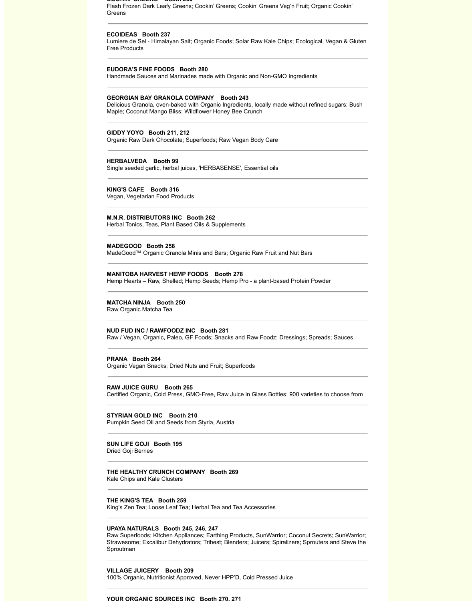#### **COOKIN' GREENS Booth 260**

Flash Frozen Dark Leafy Greens; Cookin' Greens; Cookin' Greens Veg'n Fruit; Organic Cookin' Greens

#### **ECOIDEAS Booth 237**

Lumiere de Sel - Himalayan Salt; Organic Foods; Solar Raw Kale Chips; Ecological, Vegan & Gluten Free Products

#### **EUDORA'S FINE FOODS Booth 280**

Handmade Sauces and Marinades made with Organic and Non-GMO Ingredients

#### **GEORGIAN BAY GRANOLA COMPANY Booth 243**

Delicious Granola, oven-baked with Organic Ingredients, locally made without refined sugars: Bush Maple; Coconut Mango Bliss; Wildflower Honey Bee Crunch

#### **GIDDY YOYO Booth 211, 212**

Organic Raw Dark Chocolate; Superfoods; Raw Vegan Body Care

# **HERBALVEDA Booth 99**

Single seeded garlic, herbal juices, 'HERBASENSE', Essential oils

#### **KING'S CAFE Booth 316** Vegan, Vegetarian Food Products

**M.N.R. DISTRIBUTORS INC Booth 262**

Herbal Tonics, Teas, Plant Based Oils & Supplements

#### **MADEGOOD Booth 258** MadeGood™ Organic Granola Minis and Bars; Organic Raw Fruit and Nut Bars

#### **MANITOBA HARVEST HEMP FOODS Booth 278**

Hemp Hearts – Raw, Shelled; Hemp Seeds; Hemp Pro - a plant-based Protein Powder

#### **MATCHA NINJA Booth 250**

Raw Organic Matcha Tea

#### **NUD FUD INC / RAWFOODZ INC Booth 281**

Raw / Vegan, Organic, Paleo, GF Foods; Snacks and Raw Foodz; Dressings; Spreads; Sauces

#### **PRANA Booth 264**

Organic Vegan Snacks; Dried Nuts and Fruit; Superfoods

#### **RAW JUICE GURU Booth 265**

Certified Organic, Cold Press, GMO-Free, Raw Juice in Glass Bottles; 900 varieties to choose from

# **STYRIAN GOLD INC Booth 210**

Pumpkin Seed Oil and Seeds from Styria, Austria

**SUN LIFE GOJI Booth 195**  Dried Goji Berries

**THE HEALTHY CRUNCH COMPANY Booth 269** Kale Chips and Kale Clusters

**THE KING'S TEA Booth 259** King's Zen Tea; Loose Leaf Tea; Herbal Tea and Tea Accessories

#### **UPAYA NATURALS Booth 245, 246, 247**

Raw Superfoods; Kitchen Appliances; Earthing Products, SunWarrior; Coconut Secrets; SunWarrior; Strawesome; Excalibur Dehydrators; Tribest; Blenders; Juicers; Spiralizers; Sprouters and Steve the Sproutman

**VILLAGE JUICERY Booth 209**  100% Organic, Nutritionist Approved, Never HPP'D, Cold Pressed Juice

#### **YOUR ORGANIC SOURCES INC Booth 270, 271**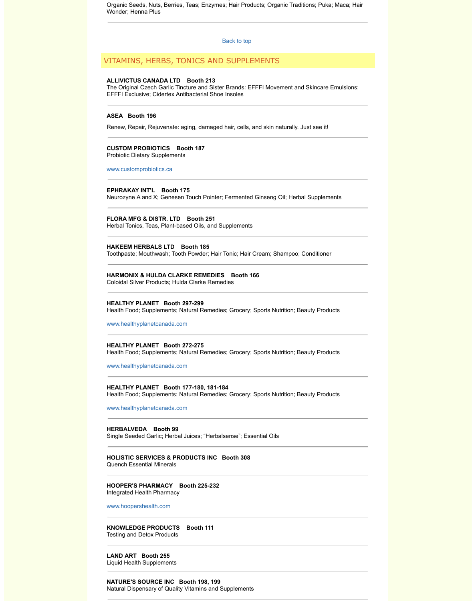# **FLORA MFG & DISTR. LTD Booth 251**

Herbal Tonics, Teas, Plant-based Oils, and Supplements

# **HAKEEM HERBALS LTD Booth 185**

Toothpaste; Mouthwash; Tooth Powder; Hair [Tonic; Hair C](http://www.wholelifeexpo.ca/exhibitors.php#top)ream; Shampoo

# **HARMONIX & HULDA CLARKE REMEDIES Booth 166**

Coloidal Silver Products; Hulda Clarke Remedies

# **HEALTHY PLANET Booth 297-299**

Health Food; Supplements; Natural Remedies; Grocery; Sports Nutrition; I

www.healthyplanetcanada.com

**HEALTHY PLANET Booth 272-275** Health Food; Supplements; Natural Remedies; Grocery; Sports Nutrition; I

www.healthyplanetcanada.com

# **[HEALTHY PLANET Boo](http://www.customprobiotics.ca/)th 177-180, 181-184** Health Food; Supplements; Natural Remedies; Grocery; Sports Nutrition; I

#### www.healthyplanetcanada.com

**HERBALVEDA Booth 99**  Single Seeded Garlic; Herbal Juices; "Herbalsense"; Essential Oils

#### **HOLISTIC SERVICES & PRODUCTS INC Booth 308** Quench Essential Minerals

**HOOPER'S PHARMACY Booth 225-232**  Integrated Health Pharmacy

www.hoopershealth.com

# **KNOWLEDGE PRODUCTS Booth 111**  [Testing and Detox Products](http://www.healthyplanetcanada.com/)

**LAND ART Booth 255** Liquid Health Supplements

# **[NATURE'S SOURCE INC Boo](http://www.healthyplanetcanada.com/)th 198, 199** Natural Dispensary of Quality Vitamins and Supplements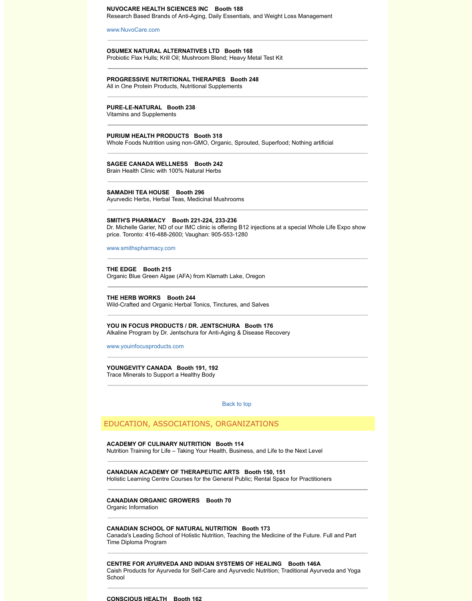### **SMITH'S PHARMACY Booth 221-224, 233-236**

Dr. Michelle Garier, ND of our IMC clinic is offering B12 injections at a speed price. Toronto: 416-488-2600; Vaughan: 905-553-1280

[www.smithspharmac](http://www.nuvocare.com/)y.com

# **THE EDGE Booth 215**

Organic Blue Green Algae (AFA) from Klamath Lake, Oregon

### **THE HERB WORKS Booth 244**

Wild-Crafted and Organic Herbal Tonics, Tinctures, and Salves

# **YOU IN FOCUS PRODUCTS / DR. JENTSCHURA Booth 176** Alkaline Program by Dr. Jentschura for Anti-Aging & Disease Recovery

www.youinfocusproducts.com

**YOUNGEVITY CANADA Booth 191, 192** Trace Minerals to Support a Healthy Body

Back to top

# EDUCATION, ASSOCIATIONS, ORGANIZATIONS

# **ACADEMY OF CULINARY NUTRITION Booth 114**

Nutrition Training for Life – Taking Your Health, Business, and Life to the N

# **CANADIAN ACADEMY OF THERAPEUTIC ARTS Booth 150, 151**

Holistic Learning Centre Courses for the General Public; Rental Space for

# **CANADIAN ORGANIC GROWERS Booth 70**

Organic Information

# **CANADIAN SCHOOL OF NATURAL NUTRITION Booth 173**

Canada's Leading School of Holistic Nutrition, Teaching the Medicine of th Time Diploma Program

### **[CENTRE FOR AYURVEDA AN](http://www.youinfocusproducts.com/)D INDIAN SYSTEMS OF HEALING Booth 146A**  Caish Products for Ayurveda for Self-Care and Ayurvedic Nutrition; Traditional Ayurvedic Mutrition **School**

#### **CONSCIOUS HEALTH Booth 162**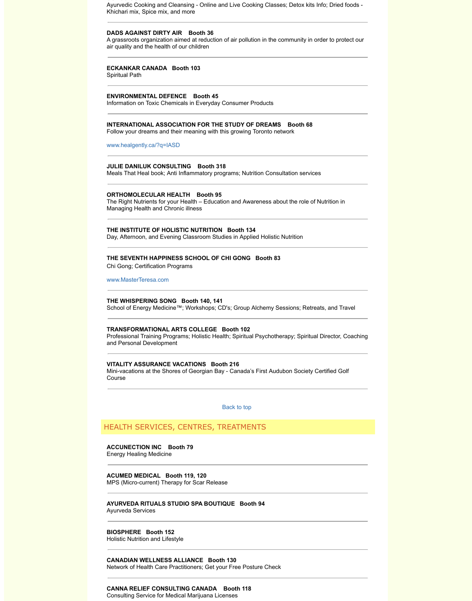# **THE INSTITUTE OF HOLISTIC NUTRITION Booth 134**

Day, Afternoon, and Evening Classroom Studies in Applied Holistic Nutrition

#### **THE SEVENTH HAPPINESS SCHOOL OF CHI GONG Booth 83**

Chi Gong; Certification Programs

www.MasterTeresa.com

#### **THE WHISPERING SONG Booth 140, 141**

School of Energy Medicine™; Workshops; CD's; Group Alchemy Sessions

# **TRANSFORMATIONAL ARTS COLLEGE Booth 102**

Professional Training Programs; Holistic Health; Spiritual Psychotherapy; Spiritual Psychotherapy; Spiritual Director, Containing Programs; Coaching Director, Containing Programs; Containing Professional Director, Containi and Personal Development

# **[VITALITY ASSURANCE VAC](http://www.healgently.ca/?q=IASD)ATIONS Booth 216**

Mini-vacations at the Shores of Georgian Bay - Canada's First Audubon S Course

Back to top

# HEALTH SERVICES, CENTRES, TREATMENTS

**ACCUNECTION INC Booth 79** Energy Healing Medicine

**ACUMED MEDICAL Booth 119, 120** MPS (Micro-current) Therapy for Scar Release

#### **AYURVEDA RITUALS STUDIO SPA BOUTIQUE Booth 94**  Ayurveda Services

**BIOSPHERE Booth 152** Holistic Nutrition and Lifestyle

**CANADIAN WELLNESS ALLIANCE Booth 130** Network of Health Care Practitioners; Get your Free Posture Check

**CANNA RELIEF CONSULTING CANADA Booth 118**  Consulting Service for Medical Marijuana Licenses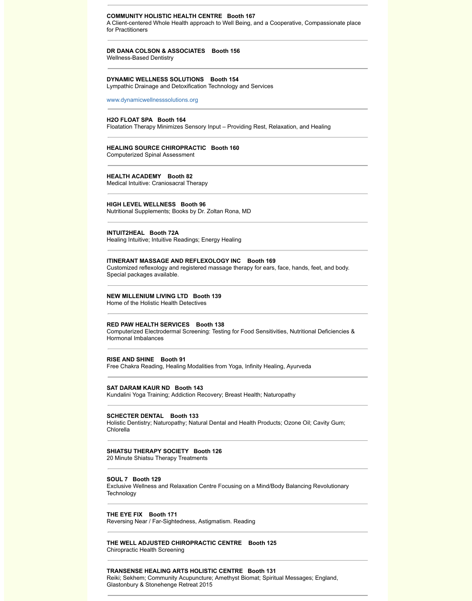### **INTUIT2HEAL Booth 72A**

Healing Intuitive; Intuitive Readings; Energy Healing

# **ITINERANT MASSAGE AND REFLEXOLOGY INC Booth 169**

Customized reflexology and registered massage therapy for ears, face, hands, face, and body. Fig. and  $\epsilon$ . Special packages available.

#### **NEW MILLENIUM LIVING LTD Booth 139**

Home of the Holistic Health Detectives

#### **RED PAW HEALTH SERVICES Booth 138**

Computerized Electrodermal Screening: Testing for Food Sensitivities, Nut Hormonal Imbalances

#### **RISE AND SHINE Booth 91**

Free Chakra Reading, Healing Modalities from Yoga, Infinity Healing, Ayur

### **SAT DARAM KAUR ND Booth 143**

Kundalini Yoga Training; Addiction Recovery; Breast Health; Naturopathy

#### **SCHECTER DENTAL Booth 133**

Holistic Dentistry; Naturopathy; Natural Dental and Health Products; Ozon Chlorella

#### **SHIATSU THERAPY SOCIETY Booth 126**

20 Minute Shiatsu Therapy Treatments

#### **SOUL 7 Booth 129**

Exclusive Wellness and Relaxation Centre Focusing on a Mind/Body Balar **Technology** 

#### **THE EYE FIX Booth 171**

Reversing Near / Far-Sightedness, Astigmatism. Reading

**THE WELL ADJUSTED CHIROPRACTIC CENTRE Booth 125** Chiropractic Health Screening

#### **TRANSENSE HEALING ARTS HOLISTIC CENTRE Booth 131**

Reiki; Sekhem; Community Acupuncture; Amethyst Biomat; Spiritual Mess Glastonbury & Stonehenge Retreat 2015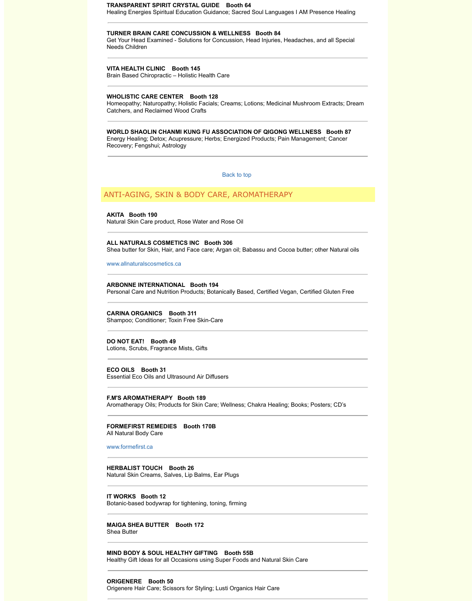**AKITA Booth 190** Natural Skin Care product, Rose Water and Rose Oil

# **ALL NATURALS COSMETICS INC Booth 306**

Shea butter for Skin, Hair, and Face care; Argan oil; Babassu and Cocoa b

www.allnaturalscosmetics.ca

**ARBONNE INTERNATIONAL Booth 194**  Personal Care and Nutrition Products; Botanically Based, Certified Vegan,

**CARINA ORGANICS Booth 311**  Shampoo; Conditioner; Toxin Free Skin-Care

**DO NOT EAT! Booth 49**  Lotions, Scrubs, Fragrance Mists, Gifts

**ECO OILS Booth 31**  Essential Eco Oils and Ultrasound Air Diffusers

**F.M'S AROMATHERAPY Booth 189** Aromatherapy Oils; Products for Skin Care; Wellness; Chakra Healing; Bo

**FORMEFIRST REMEDIES Booth 170B** All Natural Body Care

www.formefirst.ca

**HERBALIST TOUCH Booth 26**  [Natural Skin Creams, Salves](http://www.allnaturalscosmetics.ca/), Lip Balms, Ear Plugs

**IT WORKS Booth 12** Botanic-based bodywrap for tightening, toning, firming

**MAIGA SHEA BUTTER Booth 172**  Shea Butter

**MIND BODY & SOUL HEALTHY GIFTING Booth 55B**  Healthy Gift Ideas for all Occasions using Super Foods and Natural Skin C

**ORIGENERE Booth 50**  Origenere Hair Care; Scissors for Styling; Lusti Organics Hair Care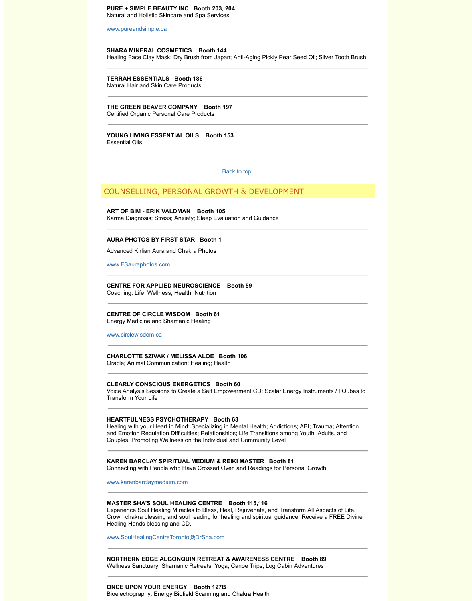Karma Diagnosis; Stress; Anxiety; Sleep Evaluation and Guidance

### **[AURA PHOTOS BY FIR](http://www.pureandsimple.ca/)ST STAR Booth 1**

Advanced Kirlian Aura and Chakra Photos

www.FSauraphotos.com

**CENTRE FOR APPLIED NEUROSCIENCE Booth 59**

Coaching: Life, Wellness, Health, Nutrition

**CENTRE OF CIRCLE WISDOM Booth 61** Energy Medicine and Shamanic Healing

www.circlewisdom.ca

**CHARLOTTE SZIVAK / MELISSA ALOE Booth 106**

Oracle; Animal Communication; Healing; Health

#### **CLEARLY CONSCIOUS ENERGETICS B[ooth 60](http://www.wholelifeexpo.ca/exhibitors.php#top)**

Voice Analysis Sessions to Create a Self Empowerment CD; Scalar Energ Transform Your Life

### **HEARTFULNESS PSYCHOTHERAPY Booth 63**

Healing with your Heart in Mind: Specializing in Mental Health; Addictions; and Emotion Regulation Difficulties; Relationships; Life Transitions among Couples. Promoting Wellness on the Individual and Community Level

# **KAREN BARCLAY SPIRITUAL MEDIUM & REIKI MASTER Booth 81**

Connecting with People who Have Crossed Over, and Readings for Perso

[www.karenbarclaymedium](http://www.fsauraphotos.com/).com

#### **MASTER SHA'S SOUL HEALING CENTRE Booth 115,116**

Experience Soul Healing Miracles to Bless, Heal, Rejuvenate, and Transfort Crown chakra blessing and soul reading for healing and spiritual guidance Healing Hands blessing and CD.

www.SoulHealingCentreToronto@DrSha.com

# **NORTHERN EDGE ALGONQUIN RETREAT & AWARENESS CENTRE**

Wellness Sanctuary; Shamanic Retreats; Yoga; Canoe Trips; Log Cabin A

# **ONCE UPON YOUR ENERGY Booth 127B**

Bioelectrography: Energy Biofield Scanning and Chakra Health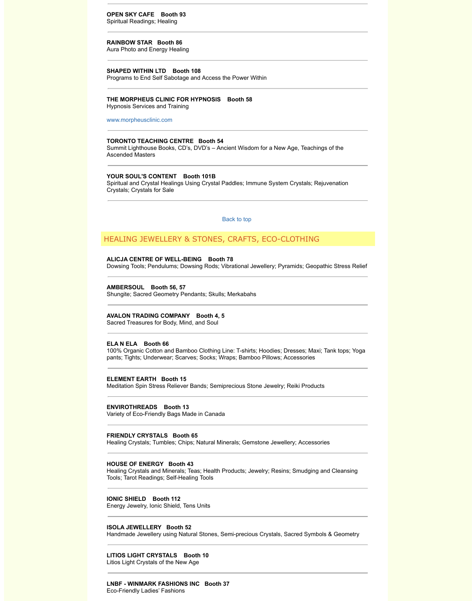Back to top

# HEALING JEWELLERY & STONES, CRAFTS, ECO-CLOT

#### **ALICJA CENTRE OF WELL-BEING Booth 78**

Dowsing Tools; Pendulums; Dowsing Rods; Vibrational Jewellery; Pyramid

# **AMBERSOUL Booth 56, 57**

Shungite; Sacred Geometry Pendants; Skulls; Merkabahs

#### **AVALON TRADING COMPANY Booth 4, 5**

Sacred Treasures for Body, Mind, and Soul

# **ELA N ELA Booth 66**

100% Organic Cotton and Bamboo Clothing Line: T-shirts; Hoodies; Dress pants; Tights; Underwear; Scarves; Socks; Wraps; Bamboo Pillows; Acces

#### **ELEMENT EARTH Booth 15**

Meditation Spin Stress Reliever Bands; Semiprecious Stone Jewelry; Reik

#### **ENVIROTHREADS Booth 13**

Variety of Eco-Friendly Bags Made in Canada

#### **FRIENDLY CRYSTALS Booth 65**

Healing Crystals; Tumbles; Chips; Natural Minerals; Gemstone Jewellery;

### **HOUSE OF ENERGY Booth 43**

Healing Crystals and Minerals; Teas; Health Products; Jewelry; Resins; Sr Tools; Tarot Readings; Self-Healing Tools

# **IONIC SHIELD Booth 112**

Energy Jewelry, Ionic Shield, Tens Units

# **ISOLA JEWELLERY Booth 52**

Handmade Jewellery using Natural Stones, Semi-precious Crystals, Sacre

## **LITIOS LIGHT CRYSTALS Booth 10**

Litios Light Crystals of the New Age

# **LNBF - WINMARK FASHIONS INC Booth 37**

Eco-Friendly Ladies' Fashions